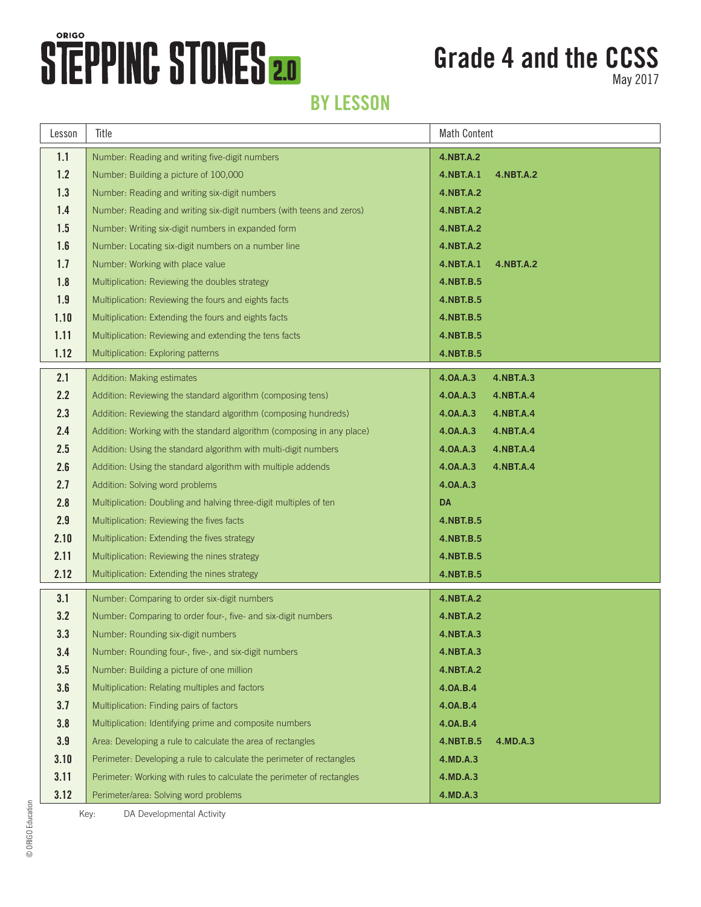## **STEPPINC STONES 2.0**

## **Grade 4 and the CCSS**

May 2017

#### **BY LESSON**

| Lesson | Title                                                                  | <b>Math Content</b>    |  |  |
|--------|------------------------------------------------------------------------|------------------------|--|--|
| 1.1    | Number: Reading and writing five-digit numbers                         | 4.NBT.A.2              |  |  |
| 1.2    | Number: Building a picture of 100,000                                  | 4.NBT.A.1<br>4.NBT.A.2 |  |  |
| 1.3    | Number: Reading and writing six-digit numbers                          | 4.NBT.A.2              |  |  |
| 1.4    | Number: Reading and writing six-digit numbers (with teens and zeros)   | 4.NBT.A.2              |  |  |
| 1.5    | Number: Writing six-digit numbers in expanded form                     | 4.NBT.A.2              |  |  |
| 1.6    | Number: Locating six-digit numbers on a number line                    | 4.NBT.A.2              |  |  |
| 1.7    | Number: Working with place value                                       | 4.NBT.A.1<br>4.NBT.A.2 |  |  |
| 1.8    | Multiplication: Reviewing the doubles strategy                         | 4.NBT.B.5              |  |  |
| 1.9    | Multiplication: Reviewing the fours and eights facts                   | 4.NBT.B.5              |  |  |
| 1.10   | Multiplication: Extending the fours and eights facts                   | 4.NBT.B.5              |  |  |
| 1.11   | Multiplication: Reviewing and extending the tens facts                 | 4.NBT.B.5              |  |  |
| 1.12   | Multiplication: Exploring patterns                                     | 4.NBT.B.5              |  |  |
| 2.1    | Addition: Making estimates                                             | 4.0A.A.3<br>4.NBT.A.3  |  |  |
| 2.2    | Addition: Reviewing the standard algorithm (composing tens)            | 4.0A.A.3<br>4.NBT.A.4  |  |  |
| 2.3    | Addition: Reviewing the standard algorithm (composing hundreds)        | 4.0A.A.3<br>4.NBT.A.4  |  |  |
| 2.4    | Addition: Working with the standard algorithm (composing in any place) | 4.0A.A.3<br>4.NBT.A.4  |  |  |
| 2.5    | Addition: Using the standard algorithm with multi-digit numbers        | 4.0A.A.3<br>4.NBT.A.4  |  |  |
| 2.6    | Addition: Using the standard algorithm with multiple addends           | 4.0A.A.3<br>4.NBT.A.4  |  |  |
| 2.7    | Addition: Solving word problems                                        | 4.0A.A.3               |  |  |
| 2.8    | Multiplication: Doubling and halving three-digit multiples of ten      | DA                     |  |  |
| 2.9    | Multiplication: Reviewing the fives facts                              | 4.NBT.B.5              |  |  |
| 2.10   | Multiplication: Extending the fives strategy                           | 4.NBT.B.5              |  |  |
| 2.11   | Multiplication: Reviewing the nines strategy                           | 4.NBT.B.5              |  |  |
| 2.12   | Multiplication: Extending the nines strategy                           | 4.NBT.B.5              |  |  |
| 3.1    | Number: Comparing to order six-digit numbers                           | <b>4.NBT.A.2</b>       |  |  |
| 3.2    | Number: Comparing to order four-, five- and six-digit numbers          | <b>4.NBT.A.2</b>       |  |  |
| 3.3    | Number: Rounding six-digit numbers                                     | <b>4.NBT.A.3</b>       |  |  |
| 3.4    | Number: Rounding four-, five-, and six-digit numbers                   | <b>4.NBT.A.3</b>       |  |  |
| 3.5    | Number: Building a picture of one million                              | <b>4.NBT.A.2</b>       |  |  |
| 3.6    | Multiplication: Relating multiples and factors                         | 4.0A.B.4               |  |  |
| 3.7    | Multiplication: Finding pairs of factors                               | 4.0A.B.4               |  |  |
| 3.8    | Multiplication: Identifying prime and composite numbers                | 4.0A.B.4               |  |  |
| 3.9    | Area: Developing a rule to calculate the area of rectangles            | 4.NBT.B.5<br>4.MD.A.3  |  |  |
| 3.10   | Perimeter: Developing a rule to calculate the perimeter of rectangles  | 4.MD.A.3               |  |  |
| 3.11   | Perimeter: Working with rules to calculate the perimeter of rectangles | 4.MD.A.3               |  |  |
| 3.12   | Perimeter/area: Solving word problems                                  | 4.MD.A.3               |  |  |

Key: DA Developmental Activity

© ORIGO Education © ORIGO Education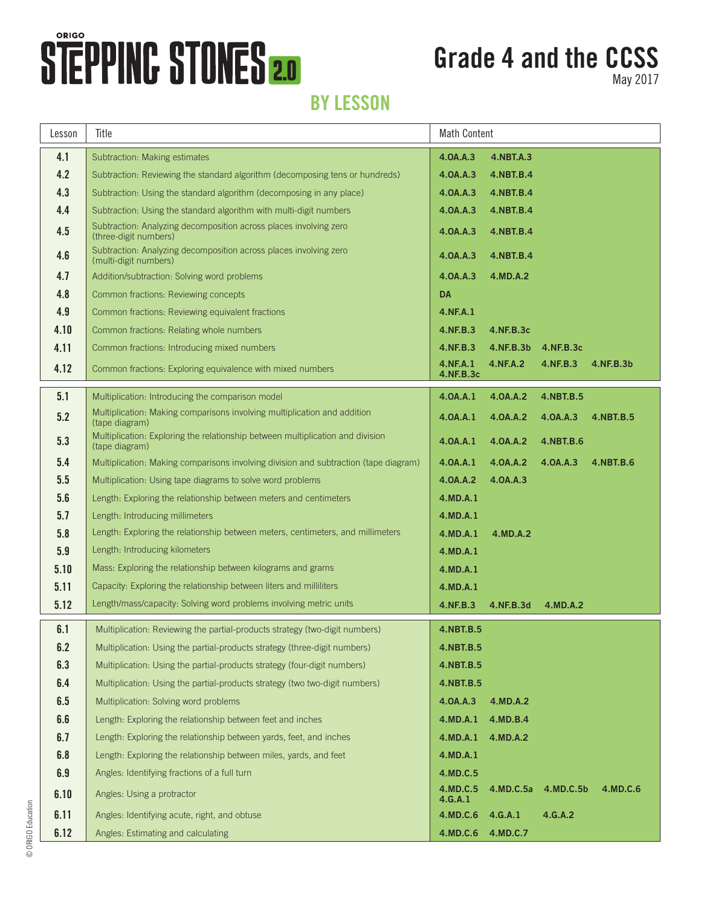# **STEPPING STONES 2.0**

## **Grade 4 and the CCSS**

May 2017

#### **BY LESSON**

| Lesson | Title                                                                                            | <b>Math Content</b>   |                      |           |           |
|--------|--------------------------------------------------------------------------------------------------|-----------------------|----------------------|-----------|-----------|
| 4.1    | Subtraction: Making estimates                                                                    | 4.0A.A.3              | 4.NBT.A.3            |           |           |
| 4.2    | Subtraction: Reviewing the standard algorithm (decomposing tens or hundreds)                     | 4.0A.A.3              | 4.NBT.B.4            |           |           |
| 4.3    | Subtraction: Using the standard algorithm (decomposing in any place)                             | 4.0A.A.3              | 4.NBT.B.4            |           |           |
| 4.4    | Subtraction: Using the standard algorithm with multi-digit numbers                               | 4.0A.A.3              | 4.NBT.B.4            |           |           |
| 4.5    | Subtraction: Analyzing decomposition across places involving zero<br>(three-digit numbers)       | 4.0A.A.3              | 4.NBT.B.4            |           |           |
| 4.6    | Subtraction: Analyzing decomposition across places involving zero<br>(multi-digit numbers)       | 4.0A.A.3              | 4.NBT.B.4            |           |           |
| 4.7    | Addition/subtraction: Solving word problems                                                      | 4.0A.A.3              | 4.MD.A.2             |           |           |
| 4.8    | Common fractions: Reviewing concepts                                                             | <b>DA</b>             |                      |           |           |
| 4.9    | Common fractions: Reviewing equivalent fractions                                                 | 4.NF.A.1              |                      |           |           |
| 4.10   | Common fractions: Relating whole numbers                                                         | 4.NF.B.3              | 4.NF.B.3c            |           |           |
| 4.11   | Common fractions: Introducing mixed numbers                                                      | 4.NF.B.3              | 4.NF.B.3b  4.NF.B.3c |           |           |
| 4.12   | Common fractions: Exploring equivalence with mixed numbers                                       | 4.NF.A.1<br>4.NF.B.3c | 4.NF.A.2             | 4.NF.B.3  | 4.NF.B.3b |
| 5.1    | Multiplication: Introducing the comparison model                                                 | 4.0A.A.1              | 4.0A.A.2             | 4.NBT.B.5 |           |
| 5.2    | Multiplication: Making comparisons involving multiplication and addition<br>(tape diagram)       | 4.0A.A.1              | 4.0A.A.2             | 4.0A.A.3  | 4.NBT.B.5 |
| 5.3    | Multiplication: Exploring the relationship between multiplication and division<br>(tape diagram) | 4.0A.A.1              | 4.0A.A.2             | 4.NBT.B.6 |           |
| 5.4    | Multiplication: Making comparisons involving division and subtraction (tape diagram)             | 4.0A.A.1              | 4.0A.A.2             | 4.0A.A.3  | 4.NBT.B.6 |
| 5.5    | Multiplication: Using tape diagrams to solve word problems                                       | 4.0A.A.2              | 4.0A.A.3             |           |           |
| 5.6    | Length: Exploring the relationship between meters and centimeters                                | 4.MD.A.1              |                      |           |           |
| 5.7    | Length: Introducing millimeters                                                                  | 4.MD.A.1              |                      |           |           |
| 5.8    | Length: Exploring the relationship between meters, centimeters, and millimeters                  | 4.MD.A.1              | 4.MD.A.2             |           |           |
| 5.9    | Length: Introducing kilometers                                                                   | 4.MD.A.1              |                      |           |           |
| 5.10   | Mass: Exploring the relationship between kilograms and grams                                     | 4.MD.A.1              |                      |           |           |
| 5.11   | Capacity: Exploring the relationship between liters and milliliters                              | 4.MD.A.1              |                      |           |           |
| 5.12   | Length/mass/capacity: Solving word problems involving metric units                               | 4.NF.B.3              | 4.NF.B.3d            | 4.MD.A.2  |           |
| 6.1    | Multiplication: Reviewing the partial-products strategy (two-digit numbers)                      | 4.NBT.B.5             |                      |           |           |
| 6.2    | Multiplication: Using the partial-products strategy (three-digit numbers)                        | 4.NBT.B.5             |                      |           |           |
| 6.3    | Multiplication: Using the partial-products strategy (four-digit numbers)                         | 4.NBT.B.5             |                      |           |           |
| 6.4    | Multiplication: Using the partial-products strategy (two two-digit numbers)                      | 4.NBT.B.5             |                      |           |           |
| 6.5    | Multiplication: Solving word problems                                                            | 4.0A.A.3              | 4.MD.A.2             |           |           |
| 6.6    | Length: Exploring the relationship between feet and inches                                       | 4.MD.A.1              | 4.MD.B.4             |           |           |
| 6.7    | Length: Exploring the relationship between yards, feet, and inches                               | 4.MD.A.1              | 4.MD.A.2             |           |           |
| 6.8    | Length: Exploring the relationship between miles, yards, and feet                                | 4.MD.A.1              |                      |           |           |
| 6.9    | Angles: Identifying fractions of a full turn                                                     | 4.MD.C.5              |                      |           |           |
| 6.10   | Angles: Using a protractor                                                                       | 4.MD.C.5<br>4.G.A.1   | 4.MD.C.5a            | 4.MD.C.5b | 4.MD.C.6  |
| 6.11   | Angles: Identifying acute, right, and obtuse                                                     | 4.MD.C.6              | 4.G.A.1              | 4.G.A.2   |           |
| 6.12   | Angles: Estimating and calculating                                                               | 4.MD.C.6              | 4.MD.C.7             |           |           |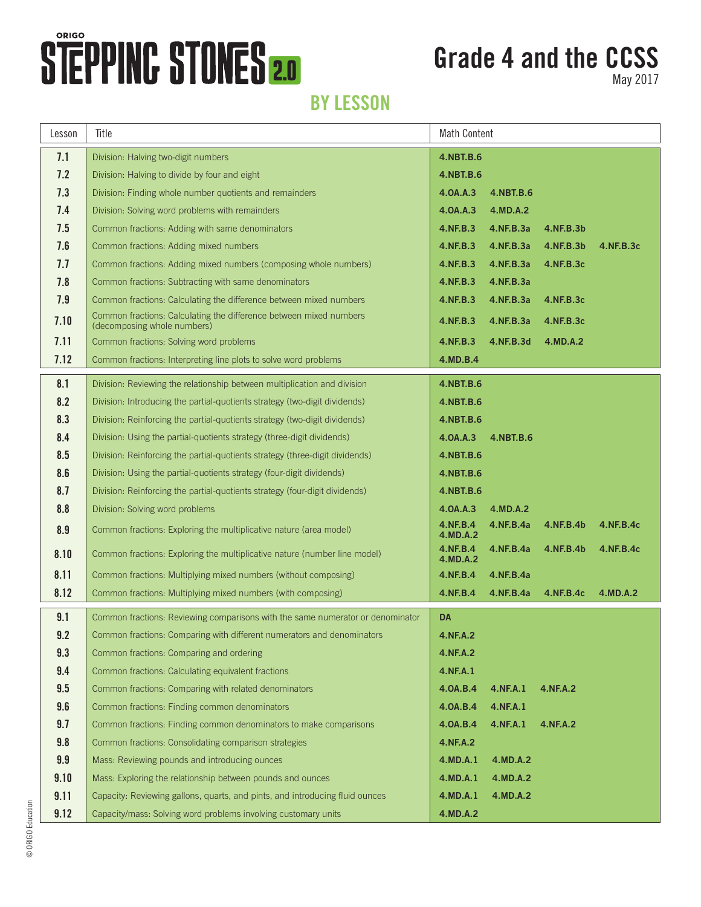## **STEPPINC STONES 2.0**

### **Grade 4 and the CCSS**

May 2017

#### **BY LESSON**

| Lesson | Title                                                                                             | <b>Math Content</b>  |           |           |           |
|--------|---------------------------------------------------------------------------------------------------|----------------------|-----------|-----------|-----------|
| 7.1    | Division: Halving two-digit numbers                                                               | 4.NBT.B.6            |           |           |           |
| 7.2    | Division: Halving to divide by four and eight                                                     | 4.NBT.B.6            |           |           |           |
| 7.3    | Division: Finding whole number quotients and remainders                                           | 4.0A.A.3             | 4.NBT.B.6 |           |           |
| 7.4    | Division: Solving word problems with remainders                                                   | 4.0A.A.3             | 4.MD.A.2  |           |           |
| 7.5    | Common fractions: Adding with same denominators                                                   | 4.NF.B.3             | 4.NF.B.3a | 4.NF.B.3b |           |
| 7.6    | Common fractions: Adding mixed numbers                                                            | 4.NF.B.3             | 4.NF.B.3a | 4.NF.B.3b | 4.NF.B.3c |
| 7.7    | Common fractions: Adding mixed numbers (composing whole numbers)                                  | 4.NF.B.3             | 4.NF.B.3a | 4.NF.B.3c |           |
| 7.8    | Common fractions: Subtracting with same denominators                                              | 4.NF.B.3             | 4.NF.B.3a |           |           |
| 7.9    | Common fractions: Calculating the difference between mixed numbers                                | 4.NF.B.3             | 4.NF.B.3a | 4.NF.B.3c |           |
| 7.10   | Common fractions: Calculating the difference between mixed numbers<br>(decomposing whole numbers) | 4.NF.B.3             | 4.NF.B.3a | 4.NF.B.3c |           |
| 7.11   | Common fractions: Solving word problems                                                           | 4.NF.B.3             | 4.NF.B.3d | 4.MD.A.2  |           |
| 7.12   | Common fractions: Interpreting line plots to solve word problems                                  | 4.MD.B.4             |           |           |           |
| 8.1    | Division: Reviewing the relationship between multiplication and division                          | 4.NBT.B.6            |           |           |           |
| 8.2    | Division: Introducing the partial-quotients strategy (two-digit dividends)                        | 4.NBT.B.6            |           |           |           |
| 8.3    | Division: Reinforcing the partial-quotients strategy (two-digit dividends)                        | 4.NBT.B.6            |           |           |           |
| 8.4    | Division: Using the partial-quotients strategy (three-digit dividends)                            | 4.0A.A.3             | 4.NBT.B.6 |           |           |
| 8.5    | Division: Reinforcing the partial-quotients strategy (three-digit dividends)                      | 4.NBT.B.6            |           |           |           |
| 8.6    | Division: Using the partial-quotients strategy (four-digit dividends)                             | 4.NBT.B.6            |           |           |           |
| 8.7    | Division: Reinforcing the partial-quotients strategy (four-digit dividends)                       | 4.NBT.B.6            |           |           |           |
| 8.8    | Division: Solving word problems                                                                   | 4.0A.A.3             | 4.MD.A.2  |           |           |
| 8.9    | Common fractions: Exploring the multiplicative nature (area model)                                | 4.NF.B.4<br>4.MD.A.2 | 4.NF.B.4a | 4.NF.B.4b | 4.NF.B.4c |
| 8.10   | Common fractions: Exploring the multiplicative nature (number line model)                         | 4.NF.B.4<br>4.MD.A.2 | 4.NF.B.4a | 4.NF.B.4b | 4.NF.B.4c |
| 8.11   | Common fractions: Multiplying mixed numbers (without composing)                                   | 4.NF.B.4             | 4.NF.B.4a |           |           |
| 8.12   | Common fractions: Multiplying mixed numbers (with composing)                                      | 4.NF.B.4             | 4.NF.B.4a | 4.NF.B.4c | 4.MD.A.2  |
| 9.1    | Common fractions: Reviewing comparisons with the same numerator or denominator                    | DA                   |           |           |           |
| 9.2    | Common fractions: Comparing with different numerators and denominators                            | 4.NF.A.2             |           |           |           |
| 9.3    | Common fractions: Comparing and ordering                                                          | 4.NF.A.2             |           |           |           |
| 9.4    | Common fractions: Calculating equivalent fractions                                                | 4.NF.A.1             |           |           |           |
| 9.5    | Common fractions: Comparing with related denominators                                             | 4.0A.B.4             | 4.NF.A.1  | 4.NF.A.2  |           |
| 9.6    | Common fractions: Finding common denominators                                                     | 4.0A.B.4             | 4.NF.A.1  |           |           |
| 9.7    | Common fractions: Finding common denominators to make comparisons                                 | 4.0A.B.4             | 4.NF.A.1  | 4.NF.A.2  |           |
| 9.8    | Common fractions: Consolidating comparison strategies                                             | 4.NF.A.2             |           |           |           |
| 9.9    | Mass: Reviewing pounds and introducing ounces                                                     | 4.MD.A.1             | 4.MD.A.2  |           |           |
| 9.10   | Mass: Exploring the relationship between pounds and ounces                                        | 4.MD.A.1             | 4.MD.A.2  |           |           |
| 9.11   | Capacity: Reviewing gallons, quarts, and pints, and introducing fluid ounces                      | 4.MD.A.1             | 4.MD.A.2  |           |           |
| 9.12   | Capacity/mass: Solving word problems involving customary units                                    | 4.MD.A.2             |           |           |           |